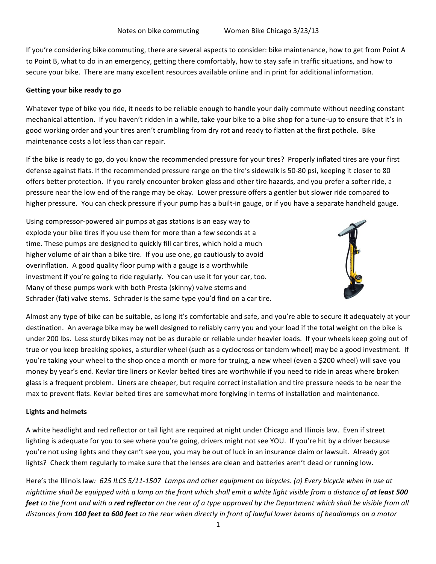If you're considering bike commuting, there are several aspects to consider: bike maintenance, how to get from Point A to Point B, what to do in an emergency, getting there comfortably, how to stay safe in traffic situations, and how to secure your bike. There are many excellent resources available online and in print for additional information.

## **Getting'your'bike ready'to'go**

Whatever type of bike you ride, it needs to be reliable enough to handle your daily commute without needing constant mechanical attention. If you haven't ridden in a while, take your bike to a bike shop for a tune-up to ensure that it's in good working order and your tires aren't crumbling from dry rot and ready to flatten at the first pothole. Bike maintenance costs a lot less than car repair.

If the bike is ready to go, do you know the recommended pressure for your tires? Properly inflated tires are your first defense against flats. If the recommended pressure range on the tire's sidewalk is 50-80 psi, keeping it closer to 80 offers better protection. If you rarely encounter broken glass and other tire hazards, and you prefer a softer ride, a pressure near the low end of the range may be okay. Lower pressure offers a gentler but slower ride compared to higher pressure. You can check pressure if your pump has a built-in gauge, or if you have a separate handheld gauge.

Using compressor-powered air pumps at gas stations is an easy way to explode your bike tires if you use them for more than a few seconds at a time. These pumps are designed to quickly fill car tires, which hold a much higher volume of air than a bike tire. If you use one, go cautiously to avoid overinflation. A good quality floor pump with a gauge is a worthwhile investment if you're going to ride regularly. You can use it for your car, too. Many of these pumps work with both Presta (skinny) valve stems and Schrader (fat) valve stems. Schrader is the same type you'd find on a car tire.



Almost any type of bike can be suitable, as long it's comfortable and safe, and you're able to secure it adequately at your destination. An average bike may be well designed to reliably carry you and your load if the total weight on the bike is under 200 lbs. Less sturdy bikes may not be as durable or reliable under heavier loads. If your wheels keep going out of true or you keep breaking spokes, a sturdier wheel (such as a cyclocross or tandem wheel) may be a good investment. If you're taking your wheel to the shop once a month or more for truing, a new wheel (even a \$200 wheel) will save you money by year's end. Kevlar tire liners or Kevlar belted tires are worthwhile if you need to ride in areas where broken glass is a frequent problem. Liners are cheaper, but require correct installation and tire pressure needs to be near the max to prevent flats. Kevlar belted tires are somewhat more forgiving in terms of installation and maintenance.

### **Lights'and'helmets**

A white headlight and red reflector or tail light are required at night under Chicago and Illinois law. Even if street lighting is adequate for you to see where you're going, drivers might not see YOU. If you're hit by a driver because you're not using lights and they can't see you, you may be out of luck in an insurance claim or lawsuit. Already got lights? Check them regularly to make sure that the lenses are clean and batteries aren't dead or running low.

Here's the Illinois law: 625 ILCS 5/11-1507 Lamps and other equipment on bicycles. (a) Every bicycle when in use at nighttime shall be equipped with a lamp on the front which shall emit a white light visible from a distance of **at least 500 feet** to the front and with a **red reflector** on the rear of a type approved by the Department which shall be visible from all distances from 100 feet to 600 feet to the rear when directly in front of lawful lower beams of headlamps on a motor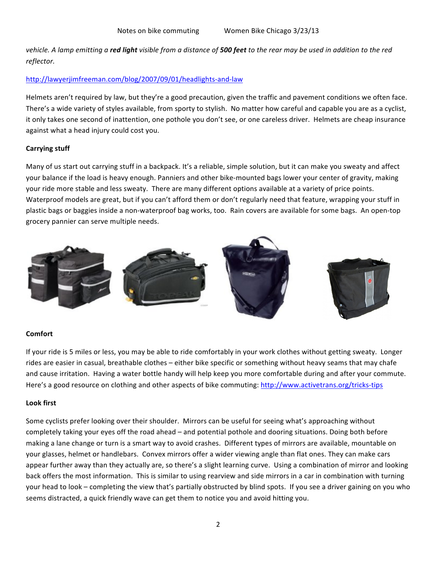*vehicle. A lamp emitting a red light visible from a distance of 500 feet to the rear may be used in addition to the red* reflector.

## http://lawyerjimfreeman.com/blog/2007/09/01/headlights-and-law

Helmets aren't required by law, but they're a good precaution, given the traffic and pavement conditions we often face. There's a wide variety of styles available, from sporty to stylish. No matter how careful and capable you are as a cyclist, it only takes one second of inattention, one pothole you don't see, or one careless driver. Helmets are cheap insurance against what a head injury could cost you.

### **Carrying stuff**

Many of us start out carrying stuff in a backpack. It's a reliable, simple solution, but it can make you sweaty and affect your balance if the load is heavy enough. Panniers and other bike-mounted bags lower your center of gravity, making your ride more stable and less sweaty. There are many different options available at a variety of price points. Waterproof models are great, but if you can't afford them or don't regularly need that feature, wrapping your stuff in plastic bags or baggies inside a non-waterproof bag works, too. Rain covers are available for some bags. An open-top grocery pannier can serve multiple needs.



### **Comfort**

If your ride is 5 miles or less, you may be able to ride comfortably in your work clothes without getting sweaty. Longer rides are easier in casual, breathable clothes – either bike specific or something without heavy seams that may chafe and cause irritation. Having a water bottle handy will help keep you more comfortable during and after your commute. Here's a good resource on clothing and other aspects of bike commuting: http://www.activetrans.org/tricks-tips

### **Look'first**

Some cyclists prefer looking over their shoulder. Mirrors can be useful for seeing what's approaching without completely taking your eyes off the road ahead – and potential pothole and dooring situations. Doing both before making a lane change or turn is a smart way to avoid crashes. Different types of mirrors are available, mountable on your glasses, helmet or handlebars. Convex mirrors offer a wider viewing angle than flat ones. They can make cars appear further away than they actually are, so there's a slight learning curve. Using a combination of mirror and looking back offers the most information. This is similar to using rearview and side mirrors in a car in combination with turning your head to look – completing the view that's partially obstructed by blind spots. If you see a driver gaining on you who seems distracted, a quick friendly wave can get them to notice you and avoid hitting you.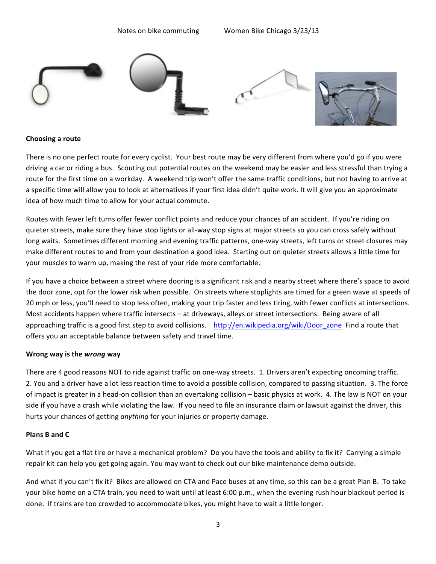

### **Choosing'a'route**

There is no one perfect route for every cyclist. Your best route may be very different from where you'd go if you were driving a car or riding a bus. Scouting out potential routes on the weekend may be easier and less stressful than trying a route for the first time on a workday. A weekend trip won't offer the same traffic conditions, but not having to arrive at a specific time will allow you to look at alternatives if your first idea didn't quite work. It will give you an approximate idea of how much time to allow for your actual commute.

Routes with fewer left turns offer fewer conflict points and reduce your chances of an accident. If you're riding on quieter streets, make sure they have stop lights or all-way stop signs at major streets so you can cross safely without long waits. Sometimes different morning and evening traffic patterns, one-way streets, left turns or street closures may make different routes to and from your destination a good idea. Starting out on quieter streets allows a little time for your muscles to warm up, making the rest of your ride more comfortable.

If you have a choice between a street where dooring is a significant risk and a nearby street where there's space to avoid the door zone, opt for the lower risk when possible. On streets where stoplights are timed for a green wave at speeds of 20 mph or less, you'll need to stop less often, making your trip faster and less tiring, with fewer conflicts at intersections. Most accidents happen where traffic intersects – at driveways, alleys or street intersections. Being aware of all approaching traffic is a good first step to avoid collisions. http://en.wikipedia.org/wiki/Door\_zone\_Find a route that offers you an acceptable balance between safety and travel time.

### **Wrong'way'is'the'***wrong* **way**

There are 4 good reasons NOT to ride against traffic on one-way streets. 1. Drivers aren't expecting oncoming traffic. 2. You and a driver have a lot less reaction time to avoid a possible collision, compared to passing situation. 3. The force of impact is greater in a head-on collision than an overtaking collision – basic physics at work. 4. The law is NOT on your side if you have a crash while violating the law. If you need to file an insurance claim or lawsuit against the driver, this hurts your chances of getting *anything* for your injuries or property damage.

### **Plans'B'and'C**

What if you get a flat tire or have a mechanical problem? Do you have the tools and ability to fix it? Carrying a simple repair kit can help you get going again. You may want to check out our bike maintenance demo outside.

And what if you can't fix it? Bikes are allowed on CTA and Pace buses at any time, so this can be a great Plan B. To take your bike home on a CTA train, you need to wait until at least 6:00 p.m., when the evening rush hour blackout period is done. If trains are too crowded to accommodate bikes, you might have to wait a little longer.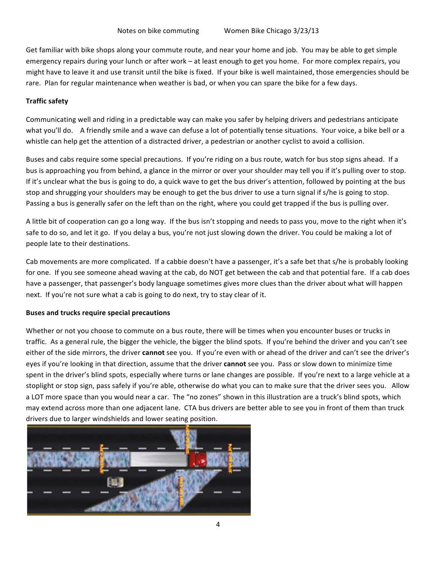Get familiar with bike shops along your commute route, and near your home and job. You may be able to get simple emergency repairs during your lunch or after work – at least enough to get you home. For more complex repairs, you might have to leave it and use transit until the bike is fixed. If your bike is well maintained, those emergencies should be rare. Plan for regular maintenance when weather is bad, or when you can spare the bike for a few days.

# **Traffic safety**

Communicating well and riding in a predictable way can make you safer by helping drivers and pedestrians anticipate what you'll do. A friendly smile and a wave can defuse a lot of potentially tense situations. Your voice, a bike bell or a whistle can help get the attention of a distracted driver, a pedestrian or another cyclist to avoid a collision.

Buses and cabs require some special precautions. If you're riding on a bus route, watch for bus stop signs ahead. If a bus is approaching you from behind, a glance in the mirror or over your shoulder may tell you if it's pulling over to stop. If it's unclear what the bus is going to do, a quick wave to get the bus driver's attention, followed by pointing at the bus stop and shrugging your shoulders may be enough to get the bus driver to use a turn signal if s/he is going to stop. Passing a bus is generally safer on the left than on the right, where you could get trapped if the bus is pulling over.

A little bit of cooperation can go a long way. If the bus isn't stopping and needs to pass you, move to the right when it's safe to do so, and let it go. If you delay a bus, you're not just slowing down the driver. You could be making a lot of people late to their destinations.

Cab movements are more complicated. If a cabbie doesn't have a passenger, it's a safe bet that s/he is probably looking for one. If you see someone ahead waving at the cab, do NOT get between the cab and that potential fare. If a cab does have a passenger, that passenger's body language sometimes gives more clues than the driver about what will happen next. If you're not sure what a cab is going to do next, try to stay clear of it.

### **Buses'and'trucks require'special'precautions**

Whether or not you choose to commute on a bus route, there will be times when you encounter buses or trucks in traffic. As a general rule, the bigger the vehicle, the bigger the blind spots. If you're behind the driver and you can't see either of the side mirrors, the driver **cannot** see you. If you're even with or ahead of the driver and can't see the driver's eyes if you're looking in that direction, assume that the driver **cannot** see you. Pass or slow down to minimize time spent in the driver's blind spots, especially where turns or lane changes are possible. If you're next to a large vehicle at a stoplight or stop sign, pass safely if you're able, otherwise do what you can to make sure that the driver sees you. Allow a LOT more space than you would near a car. The "no zones" shown in this illustration are a truck's blind spots, which may extend across more than one adjacent lane. CTA bus drivers are better able to see you in front of them than truck drivers due to larger windshields and lower seating position.

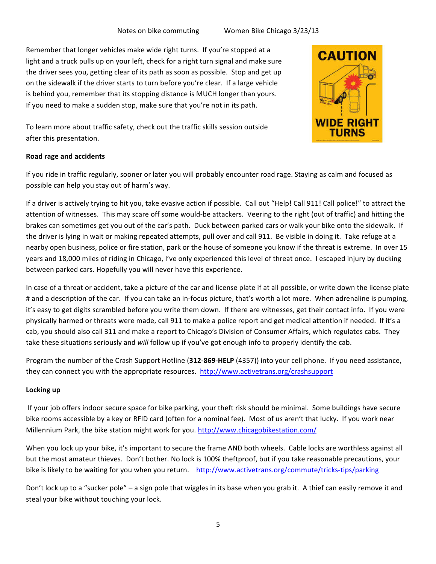Remember that longer vehicles make wide right turns. If you're stopped at a light and a truck pulls up on your left, check for a right turn signal and make sure the driver sees you, getting clear of its path as soon as possible. Stop and get up on the sidewalk if the driver starts to turn before you're clear. If a large vehicle is behind you, remember that its stopping distance is MUCH longer than yours. If you need to make a sudden stop, make sure that you're not in its path.



To learn more about traffic safety, check out the traffic skills session outside after this presentation.

# **Road'rage and'accidents**

If you ride in traffic regularly, sooner or later you will probably encounter road rage. Staying as calm and focused as possible can help you stay out of harm's way.

If a driver is actively trying to hit you, take evasive action if possible. Call out "Help! Call 911! Call police!" to attract the attention of witnesses. This may scare off some would-be attackers. Veering to the right (out of traffic) and hitting the brakes can sometimes get you out of the car's path. Duck between parked cars or walk your bike onto the sidewalk. If the driver is lying in wait or making repeated attempts, pull over and call 911. Be visible in doing it. Take refuge at a nearby open business, police or fire station, park or the house of someone you know if the threat is extreme. In over 15 years and 18,000 miles of riding in Chicago, I've only experienced this level of threat once. I escaped injury by ducking between parked cars. Hopefully you will never have this experience.

In case of a threat or accident, take a picture of the car and license plate if at all possible, or write down the license plate # and a description of the car. If you can take an in-focus picture, that's worth a lot more. When adrenaline is pumping, it's easy to get digits scrambled before you write them down. If there are witnesses, get their contact info. If you were physically harmed or threats were made, call 911 to make a police report and get medical attention if needed. If it's a cab, you should also call 311 and make a report to Chicago's Division of Consumer Affairs, which regulates cabs. They take these situations seriously and *will* follow up if you've got enough info to properly identify the cab.

Program the number of the Crash Support Hotline (312-869-HELP (4357)) into your cell phone. If you need assistance, they can connect you with the appropriate resources. http://www.activetrans.org/crashsupport

### **Locking'up**

If your job offers indoor secure space for bike parking, your theft risk should be minimal. Some buildings have secure bike rooms accessible by a key or RFID card (often for a nominal fee). Most of us aren't that lucky. If you work near Millennium Park, the bike station might work for you. http://www.chicagobikestation.com/

When you lock up your bike, it's important to secure the frame AND both wheels. Cable locks are worthless against all but the most amateur thieves. Don't bother. No lock is 100% theftproof, but if you take reasonable precautions, your bike is likely to be waiting for you when you return. http://www.activetrans.org/commute/tricks-tips/parking

Don't lock up to a "sucker pole" – a sign pole that wiggles in its base when you grab it. A thief can easily remove it and steal your bike without touching your lock.